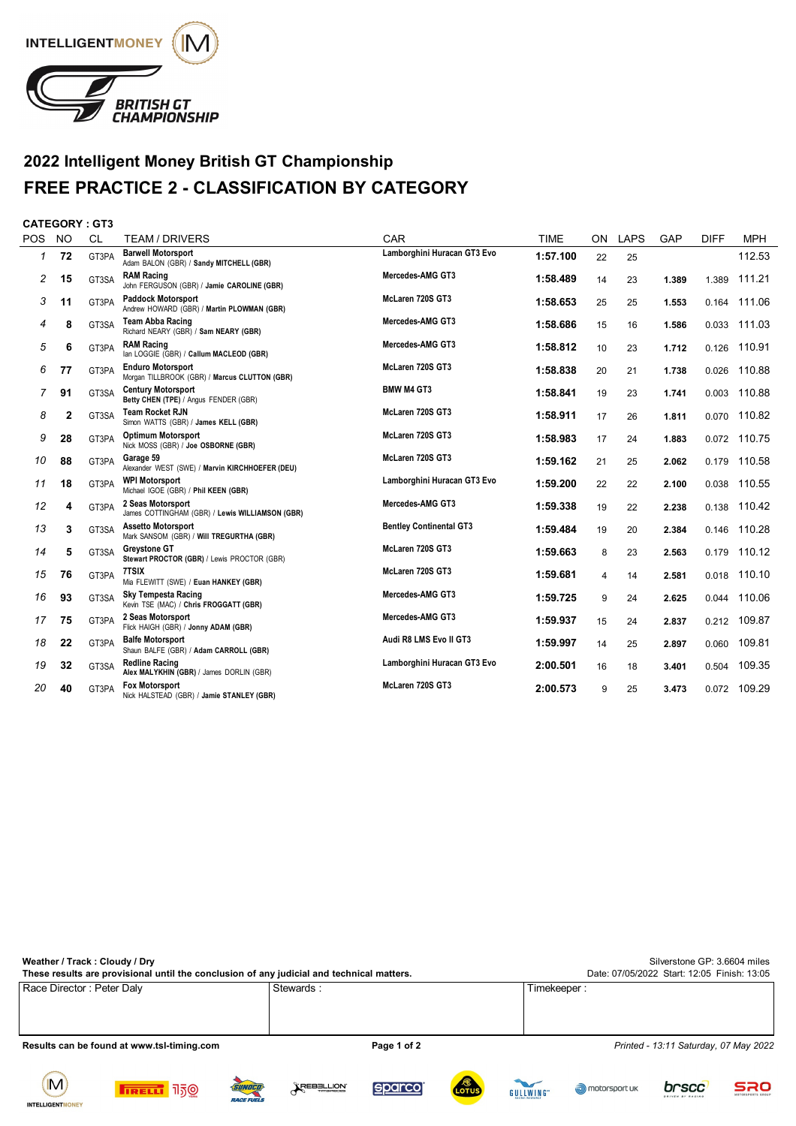

## **2022 Intelligent Money British GT Championship FREE PRACTICE 2 - CLASSIFICATION BY CATEGORY**

## **CATEGORY : GT3**

| <b>POS</b> | <b>NO</b> | <b>CL</b> | TEAM / DRIVERS                                                            | CAR                            | <b>TIME</b> | ON | <b>LAPS</b> | GAP   | <b>DIFF</b> | <b>MPH</b> |
|------------|-----------|-----------|---------------------------------------------------------------------------|--------------------------------|-------------|----|-------------|-------|-------------|------------|
| 1          | 72        | GT3PA     | <b>Barwell Motorsport</b><br>Adam BALON (GBR) / Sandy MITCHELL (GBR)      | Lamborghini Huracan GT3 Evo    | 1:57.100    | 22 | 25          |       |             | 112.53     |
| 2          | 15        | GT3SA     | <b>RAM Racing</b><br>John FERGUSON (GBR) / Jamie CAROLINE (GBR)           | Mercedes-AMG GT3               | 1:58.489    | 14 | 23          | 1.389 | 1.389       | 111.21     |
| 3          | 11        | GT3PA     | <b>Paddock Motorsport</b><br>Andrew HOWARD (GBR) / Martin PLOWMAN (GBR)   | McLaren 720S GT3               | 1:58.653    | 25 | 25          | 1.553 | 0.164       | 111.06     |
| 4          | 8         | GT3SA     | <b>Team Abba Racing</b><br>Richard NEARY (GBR) / Sam NEARY (GBR)          | Mercedes-AMG GT3               | 1:58.686    | 15 | 16          | 1.586 | 0.033       | 111.03     |
| 5          | 6         | GT3PA     | <b>RAM Racing</b><br>lan LOGGIE (GBR) / Callum MACLEOD (GBR)              | Mercedes-AMG GT3               | 1:58.812    | 10 | 23          | 1.712 | 0.126       | 110.91     |
| 6          | 77        | GT3PA     | <b>Enduro Motorsport</b><br>Morgan TILLBROOK (GBR) / Marcus CLUTTON (GBR) | McLaren 720S GT3               | 1:58.838    | 20 | 21          | 1.738 | 0.026       | 110.88     |
| 7          | 91        | GT3SA     | <b>Century Motorsport</b><br>Betty CHEN (TPE) / Angus FENDER (GBR)        | <b>BMW M4 GT3</b>              | 1:58.841    | 19 | 23          | 1.741 | 0.003       | 110.88     |
| 8          | 2         | GT3SA     | <b>Team Rocket RJN</b><br>Simon WATTS (GBR) / James KELL (GBR)            | McLaren 720S GT3               | 1:58.911    | 17 | 26          | 1.811 | 0.070       | 110.82     |
| 9          | 28        | GT3PA     | <b>Optimum Motorsport</b><br>Nick MOSS (GBR) / Joe OSBORNE (GBR)          | McLaren 720S GT3               | 1:58.983    | 17 | 24          | 1.883 | 0.072       | 110.75     |
| 10         | 88        | GT3PA     | Garage 59<br>Alexander WEST (SWE) / Marvin KIRCHHOEFER (DEU)              | McLaren 720S GT3               | 1:59.162    | 21 | 25          | 2.062 | 0.179       | 110.58     |
| 11         | 18        | GT3PA     | <b>WPI Motorsport</b><br>Michael IGOE (GBR) / Phil KEEN (GBR)             | Lamborghini Huracan GT3 Evo    | 1:59.200    | 22 | 22          | 2.100 | 0.038       | 110.55     |
| 12         | 4         | GT3PA     | 2 Seas Motorsport<br>James COTTINGHAM (GBR) / Lewis WILLIAMSON (GBR)      | Mercedes-AMG GT3               | 1:59.338    | 19 | 22          | 2.238 | 0.138       | 110.42     |
| 13         | 3         | GT3SA     | <b>Assetto Motorsport</b><br>Mark SANSOM (GBR) / Will TREGURTHA (GBR)     | <b>Bentley Continental GT3</b> | 1:59.484    | 19 | 20          | 2.384 | 0.146       | 110.28     |
| 14         | 5         | GT3SA     | <b>Greystone GT</b><br>Stewart PROCTOR (GBR) / Lewis PROCTOR (GBR)        | McLaren 720S GT3               | 1:59.663    | 8  | 23          | 2.563 | 0.179       | 110.12     |
| 15         | 76        | GT3PA     | 7TSIX<br>Mia FLEWITT (SWE) / Euan HANKEY (GBR)                            | McLaren 720S GT3               | 1:59.681    | 4  | 14          | 2.581 | 0.018       | 110.10     |
| 16         | 93        | GT3SA     | <b>Sky Tempesta Racing</b><br>Kevin TSE (MAC) / Chris FROGGATT (GBR)      | Mercedes-AMG GT3               | 1:59.725    | 9  | 24          | 2.625 | 0.044       | 110.06     |
| 17         | 75        | GT3PA     | 2 Seas Motorsport<br>Flick HAIGH (GBR) / Jonny ADAM (GBR)                 | Mercedes-AMG GT3               | 1:59.937    | 15 | 24          | 2.837 | 0.212       | 109.87     |
| 18         | 22        | GT3PA     | <b>Balfe Motorsport</b><br>Shaun BALFE (GBR) / Adam CARROLL (GBR)         | Audi R8 LMS Evo II GT3         | 1:59.997    | 14 | 25          | 2.897 | 0.060       | 109.81     |
| 19         | 32        | GT3SA     | <b>Redline Racing</b><br>Alex MALYKHIN (GBR) / James DORLIN (GBR)         | Lamborghini Huracan GT3 Evo    | 2:00.501    | 16 | 18          | 3.401 | 0.504       | 109.35     |
| 20         | 40        | GT3PA     | <b>Fox Motorsport</b><br>Nick HALSTEAD (GBR) / Jamie STANLEY (GBR)        | McLaren 720S GT3               | 2:00.573    | 9  | 25          | 3.473 | 0.072       | 109.29     |

| Weather / Track: Cloudy / Dry                                                             | Silverstone GP: 3.6604 miles                |                                       |
|-------------------------------------------------------------------------------------------|---------------------------------------------|---------------------------------------|
| These results are provisional until the conclusion of any judicial and technical matters. | Date: 07/05/2022 Start: 12:05 Finish: 13:05 |                                       |
| Race Director: Peter Daly                                                                 | Stewards:                                   | Timekeeper :                          |
|                                                                                           |                                             |                                       |
|                                                                                           |                                             |                                       |
|                                                                                           |                                             |                                       |
| Results can be found at www.tsl-timing.com                                                | Page 1 of 2                                 | Printed - 13:11 Saturday, 07 May 2022 |